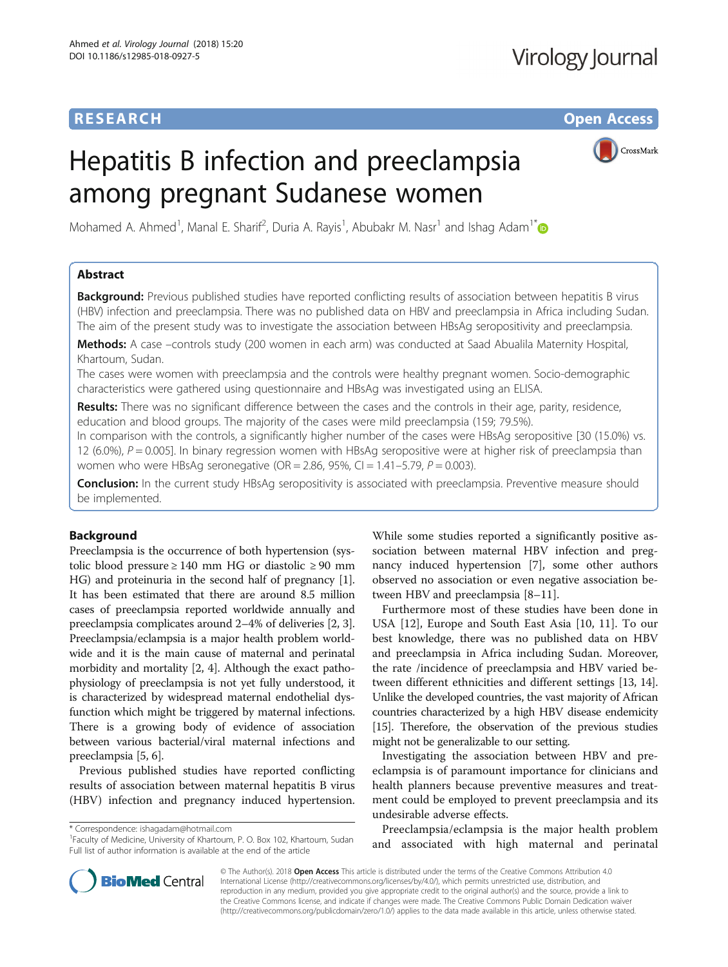# **RESEARCH CHE Open Access**

# Hepatitis B infection and preeclampsia among pregnant Sudanese women



Mohamed A. Ahmed<sup>1</sup>, Manal E. Sharif<sup>2</sup>, Duria A. Rayis<sup>1</sup>, Abubakr M. Nasr<sup>1</sup> and Ishag Adam<sup>1\*</sup>

# Abstract

**Background:** Previous published studies have reported conflicting results of association between hepatitis B virus (HBV) infection and preeclampsia. There was no published data on HBV and preeclampsia in Africa including Sudan. The aim of the present study was to investigate the association between HBsAg seropositivity and preeclampsia.

Methods: A case -controls study (200 women in each arm) was conducted at Saad Abualila Maternity Hospital, Khartoum, Sudan.

The cases were women with preeclampsia and the controls were healthy pregnant women. Socio-demographic characteristics were gathered using questionnaire and HBsAg was investigated using an ELISA.

Results: There was no significant difference between the cases and the controls in their age, parity, residence, education and blood groups. The majority of the cases were mild preeclampsia (159; 79.5%).

In comparison with the controls, a significantly higher number of the cases were HBsAg seropositive [30 (15.0%) vs. 12 (6.0%),  $P = 0.005$ ]. In binary regression women with HBsAg seropositive were at higher risk of preeclampsia than women who were HBsAg seronegative (OR = 2.86, 95%, CI = 1.41-5.79,  $P = 0.003$ ).

Conclusion: In the current study HBsAg seropositivity is associated with preeclampsia. Preventive measure should be implemented.

# Background

Preeclampsia is the occurrence of both hypertension (systolic blood pressure ≥ 140 mm HG or diastolic ≥ 90 mm HG) and proteinuria in the second half of pregnancy [[1](#page-3-0)]. It has been estimated that there are around 8.5 million cases of preeclampsia reported worldwide annually and preeclampsia complicates around 2–4% of deliveries [\[2, 3](#page-3-0)]. Preeclampsia/eclampsia is a major health problem worldwide and it is the main cause of maternal and perinatal morbidity and mortality [\[2, 4\]](#page-3-0). Although the exact pathophysiology of preeclampsia is not yet fully understood, it is characterized by widespread maternal endothelial dysfunction which might be triggered by maternal infections. There is a growing body of evidence of association between various bacterial/viral maternal infections and preeclampsia [[5](#page-3-0), [6](#page-3-0)].

Previous published studies have reported conflicting results of association between maternal hepatitis B virus (HBV) infection and pregnancy induced hypertension.

\* Correspondence: [ishagadam@hotmail.com](mailto:ishagadam@hotmail.com) <sup>1</sup>

Faculty of Medicine, University of Khartoum, P. O. Box 102, Khartoum, Sudan Full list of author information is available at the end of the article

While some studies reported a significantly positive association between maternal HBV infection and pregnancy induced hypertension [[7\]](#page-3-0), some other authors observed no association or even negative association between HBV and preeclampsia [[8](#page-3-0)–[11](#page-3-0)].

Furthermore most of these studies have been done in USA [[12\]](#page-3-0), Europe and South East Asia [[10](#page-3-0), [11\]](#page-3-0). To our best knowledge, there was no published data on HBV and preeclampsia in Africa including Sudan. Moreover, the rate /incidence of preeclampsia and HBV varied between different ethnicities and different settings [\[13, 14](#page-3-0)]. Unlike the developed countries, the vast majority of African countries characterized by a high HBV disease endemicity [[15](#page-3-0)]. Therefore, the observation of the previous studies might not be generalizable to our setting.

Investigating the association between HBV and preeclampsia is of paramount importance for clinicians and health planners because preventive measures and treatment could be employed to prevent preeclampsia and its undesirable adverse effects.

Preeclampsia/eclampsia is the major health problem and associated with high maternal and perinatal



© The Author(s). 2018 Open Access This article is distributed under the terms of the Creative Commons Attribution 4.0 International License [\(http://creativecommons.org/licenses/by/4.0/](http://creativecommons.org/licenses/by/4.0/)), which permits unrestricted use, distribution, and reproduction in any medium, provided you give appropriate credit to the original author(s) and the source, provide a link to the Creative Commons license, and indicate if changes were made. The Creative Commons Public Domain Dedication waiver [\(http://creativecommons.org/publicdomain/zero/1.0/](http://creativecommons.org/publicdomain/zero/1.0/)) applies to the data made available in this article, unless otherwise stated.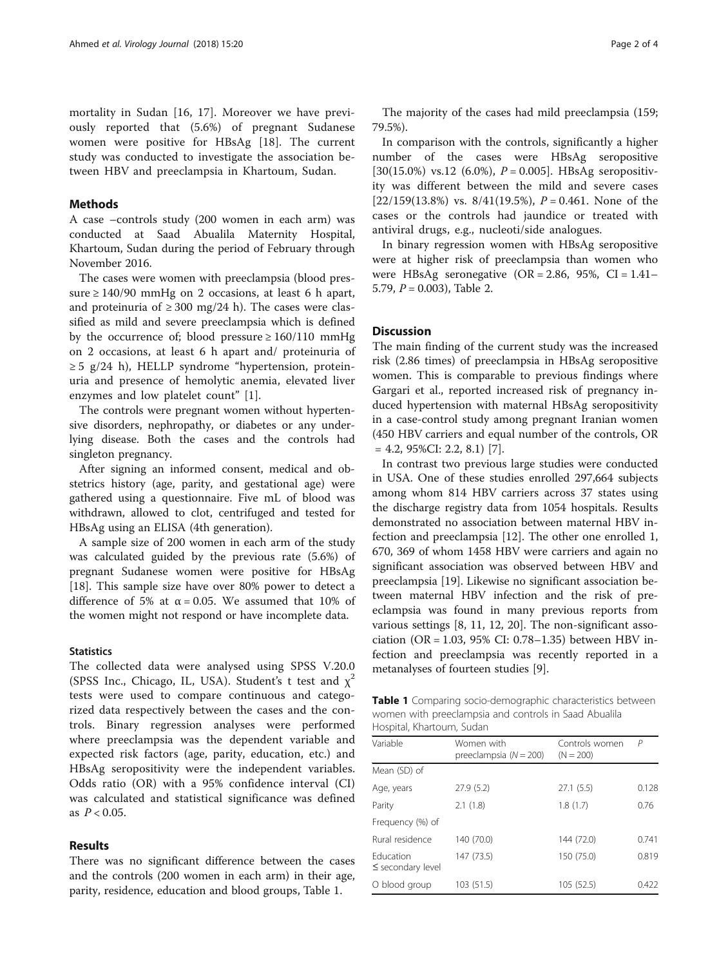mortality in Sudan [\[16](#page-3-0), [17\]](#page-3-0). Moreover we have previously reported that (5.6%) of pregnant Sudanese women were positive for HBsAg [\[18](#page-3-0)]. The current study was conducted to investigate the association between HBV and preeclampsia in Khartoum, Sudan.

## Methods

A case –controls study (200 women in each arm) was conducted at Saad Abualila Maternity Hospital, Khartoum, Sudan during the period of February through November 2016.

The cases were women with preeclampsia (blood pressure ≥ 140/90 mmHg on 2 occasions, at least 6 h apart, and proteinuria of  $\geq$  300 mg/24 h). The cases were classified as mild and severe preeclampsia which is defined by the occurrence of; blood pressure  $\geq 160/110$  mmHg on 2 occasions, at least 6 h apart and/ proteinuria of ≥ 5 g/24 h), HELLP syndrome "hypertension, proteinuria and presence of hemolytic anemia, elevated liver enzymes and low platelet count" [\[1](#page-3-0)].

The controls were pregnant women without hypertensive disorders, nephropathy, or diabetes or any underlying disease. Both the cases and the controls had singleton pregnancy.

After signing an informed consent, medical and obstetrics history (age, parity, and gestational age) were gathered using a questionnaire. Five mL of blood was withdrawn, allowed to clot, centrifuged and tested for HBsAg using an ELISA (4th generation).

A sample size of 200 women in each arm of the study was calculated guided by the previous rate (5.6%) of pregnant Sudanese women were positive for HBsAg [[18\]](#page-3-0). This sample size have over 80% power to detect a difference of 5% at  $\alpha$  = 0.05. We assumed that 10% of the women might not respond or have incomplete data.

## **Statistics**

The collected data were analysed using SPSS V.20.0 (SPSS Inc., Chicago, IL, USA). Student's t test and  $\chi^2$ tests were used to compare continuous and categorized data respectively between the cases and the controls. Binary regression analyses were performed where preeclampsia was the dependent variable and expected risk factors (age, parity, education, etc.) and HBsAg seropositivity were the independent variables. Odds ratio (OR) with a 95% confidence interval (CI) was calculated and statistical significance was defined as  $P < 0.05$ .

# Results

There was no significant difference between the cases and the controls (200 women in each arm) in their age, parity, residence, education and blood groups, Table 1.

The majority of the cases had mild preeclampsia (159; 79.5%).

In comparison with the controls, significantly a higher number of the cases were HBsAg seropositive [30(15.0%) vs.12 (6.0%),  $P = 0.005$ ]. HBsAg seropositivity was different between the mild and severe cases [22/159(13.8%) vs.  $8/41(19.5%)$ ,  $P = 0.461$ . None of the cases or the controls had jaundice or treated with antiviral drugs, e.g., nucleoti/side analogues.

In binary regression women with HBsAg seropositive were at higher risk of preeclampsia than women who were HBsAg seronegative  $(OR = 2.86, 95\%, CI = 1.41-$ 5.79,  $P = 0.003$ ), Table [2](#page-2-0).

# **Discussion**

The main finding of the current study was the increased risk (2.86 times) of preeclampsia in HBsAg seropositive women. This is comparable to previous findings where Gargari et al., reported increased risk of pregnancy induced hypertension with maternal HBsAg seropositivity in a case-control study among pregnant Iranian women (450 HBV carriers and equal number of the controls, OR  $= 4.2, 95\%$ CI: 2.2, 8.1) [[7\]](#page-3-0).

In contrast two previous large studies were conducted in USA. One of these studies enrolled 297,664 subjects among whom 814 HBV carriers across 37 states using the discharge registry data from 1054 hospitals. Results demonstrated no association between maternal HBV infection and preeclampsia [[12\]](#page-3-0). The other one enrolled 1, 670, 369 of whom 1458 HBV were carriers and again no significant association was observed between HBV and preeclampsia [\[19\]](#page-3-0). Likewise no significant association between maternal HBV infection and the risk of preeclampsia was found in many previous reports from various settings [[8, 11, 12](#page-3-0), [20](#page-3-0)]. The non-significant association (OR = 1.03, 95% CI: 0.78–1.35) between HBV infection and preeclampsia was recently reported in a metanalyses of fourteen studies [\[9\]](#page-3-0).

Table 1 Comparing socio-demographic characteristics between women with preeclampsia and controls in Saad Abualila Hospital, Khartoum, Sudan

| Variable                                  | Women with<br>preeclampsia $(N = 200)$ | Controls women<br>$(N = 200)$ | P     |
|-------------------------------------------|----------------------------------------|-------------------------------|-------|
| Mean (SD) of                              |                                        |                               |       |
| Age, years                                | 27.9(5.2)                              | 27.1(5.5)                     | 0.128 |
| Parity                                    | 2.1(1.8)                               | 1.8(1.7)                      | 0.76  |
| Frequency (%) of                          |                                        |                               |       |
| Rural residence                           | 140 (70.0)                             | 144 (72.0)                    | 0.741 |
| <b>Education</b><br>$\le$ secondary level | 147 (73.5)                             | 150 (75.0)                    | 0.819 |
| O blood group                             | 103 (51.5)                             | 105 (52.5)                    | 0.422 |
|                                           |                                        |                               |       |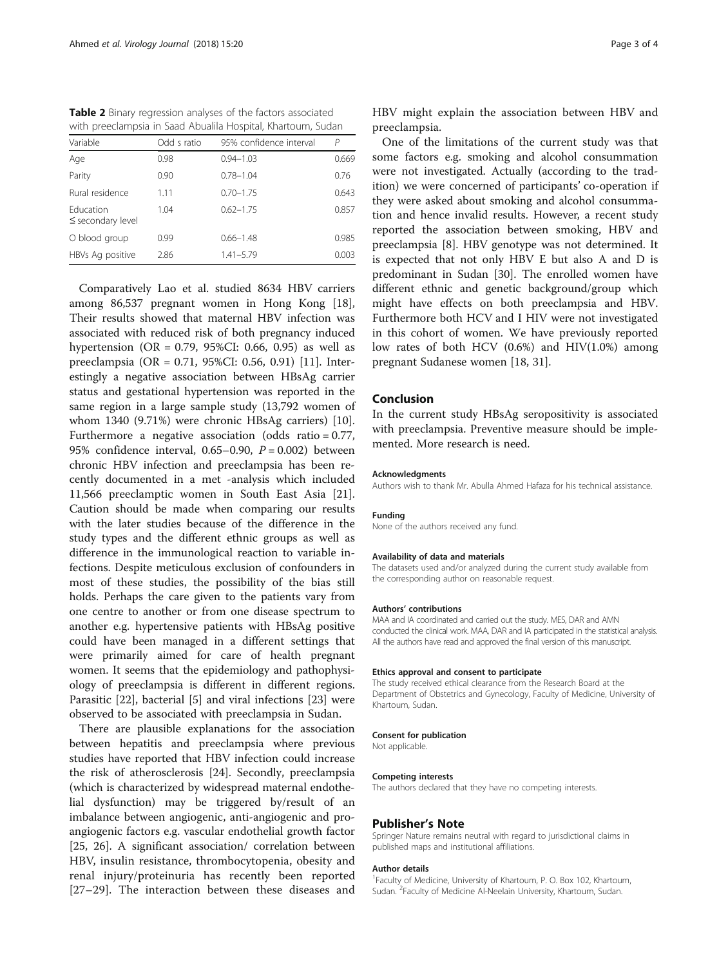<span id="page-2-0"></span>Table 2 Binary regression analyses of the factors associated with preeclampsia in Saad Abualila Hospital, Khartoum, Sudan

| Variable                                  | Odd s ratio | 95% confidence interval | P     |
|-------------------------------------------|-------------|-------------------------|-------|
| Age                                       | 0.98        | $0.94 - 1.03$           | 0.669 |
| Parity                                    | 0.90        | $0.78 - 1.04$           | 0.76  |
| Rural residence                           | 1.11        | $0.70 - 1.75$           | 0.643 |
| <b>Education</b><br>$\le$ secondary level | 1.04        | $0.62 - 1.75$           | 0.857 |
| O blood group                             | 0.99        | $0.66 - 1.48$           | 0.985 |
| HBVs Ag positive                          | 2.86        | $1.41 - 5.79$           | 0.003 |

Comparatively Lao et al. studied 8634 HBV carriers among 86,537 pregnant women in Hong Kong [\[18](#page-3-0)], Their results showed that maternal HBV infection was associated with reduced risk of both pregnancy induced hypertension (OR = 0.79, 95%CI: 0.66, 0.95) as well as preeclampsia (OR = 0.71, 95%CI: 0.56, 0.91) [\[11](#page-3-0)]. Interestingly a negative association between HBsAg carrier status and gestational hypertension was reported in the same region in a large sample study (13,792 women of whom 1340 (9.71%) were chronic HBsAg carriers) [\[10](#page-3-0)]. Furthermore a negative association (odds ratio = 0.77, 95% confidence interval, 0.65–0.90,  $P = 0.002$ ) between chronic HBV infection and preeclampsia has been recently documented in a met -analysis which included 11,566 preeclamptic women in South East Asia [\[21](#page-3-0)]. Caution should be made when comparing our results with the later studies because of the difference in the study types and the different ethnic groups as well as difference in the immunological reaction to variable infections. Despite meticulous exclusion of confounders in most of these studies, the possibility of the bias still holds. Perhaps the care given to the patients vary from one centre to another or from one disease spectrum to another e.g. hypertensive patients with HBsAg positive could have been managed in a different settings that were primarily aimed for care of health pregnant women. It seems that the epidemiology and pathophysiology of preeclampsia is different in different regions. Parasitic [[22\]](#page-3-0), bacterial [[5](#page-3-0)] and viral infections [[23\]](#page-3-0) were observed to be associated with preeclampsia in Sudan.

There are plausible explanations for the association between hepatitis and preeclampsia where previous studies have reported that HBV infection could increase the risk of atherosclerosis [\[24\]](#page-3-0). Secondly, preeclampsia (which is characterized by widespread maternal endothelial dysfunction) may be triggered by/result of an imbalance between angiogenic, anti-angiogenic and proangiogenic factors e.g. vascular endothelial growth factor [[25, 26](#page-3-0)]. A significant association/ correlation between HBV, insulin resistance, thrombocytopenia, obesity and renal injury/proteinuria has recently been reported [[27](#page-3-0)–[29\]](#page-3-0). The interaction between these diseases and HBV might explain the association between HBV and preeclampsia.

One of the limitations of the current study was that some factors e.g. smoking and alcohol consummation were not investigated. Actually (according to the tradition) we were concerned of participants' co-operation if they were asked about smoking and alcohol consummation and hence invalid results. However, a recent study reported the association between smoking, HBV and preeclampsia [[8\]](#page-3-0). HBV genotype was not determined. It is expected that not only HBV E but also A and D is predominant in Sudan [[30](#page-3-0)]. The enrolled women have different ethnic and genetic background/group which might have effects on both preeclampsia and HBV. Furthermore both HCV and I HIV were not investigated in this cohort of women. We have previously reported low rates of both HCV (0.6%) and HIV(1.0%) among pregnant Sudanese women [[18, 31\]](#page-3-0).

## Conclusion

In the current study HBsAg seropositivity is associated with preeclampsia. Preventive measure should be implemented. More research is need.

#### Acknowledgments

Authors wish to thank Mr. Abulla Ahmed Hafaza for his technical assistance.

#### Funding

None of the authors received any fund.

#### Availability of data and materials

The datasets used and/or analyzed during the current study available from the corresponding author on reasonable request.

#### Authors' contributions

MAA and IA coordinated and carried out the study. MES, DAR and AMN conducted the clinical work. MAA, DAR and IA participated in the statistical analysis. All the authors have read and approved the final version of this manuscript.

#### Ethics approval and consent to participate

The study received ethical clearance from the Research Board at the Department of Obstetrics and Gynecology, Faculty of Medicine, University of Khartoum, Sudan.

#### Consent for publication

Not applicable.

#### Competing interests

The authors declared that they have no competing interests.

#### Publisher's Note

Springer Nature remains neutral with regard to jurisdictional claims in published maps and institutional affiliations.

#### Author details

<sup>1</sup> Faculty of Medicine, University of Khartoum, P. O. Box 102, Khartoum, Sudan. <sup>2</sup> Faculty of Medicine Al-Neelain University, Khartoum, Sudan.